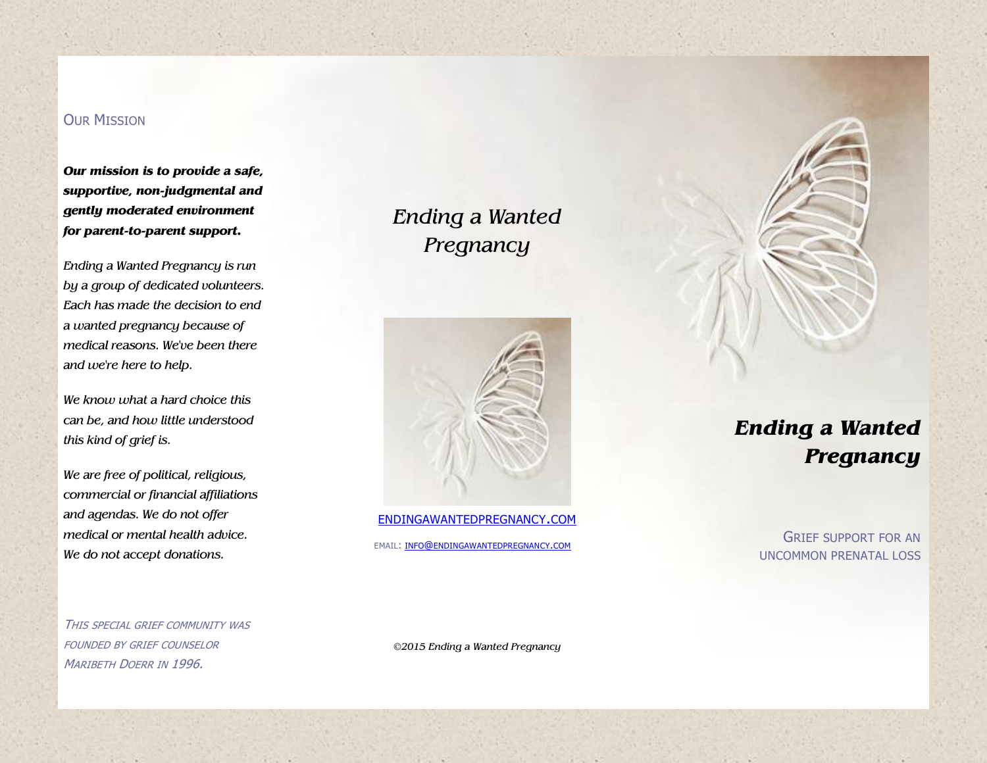## **OUR MISSION**

*Our mission is to provide a safe, supportive, non-judgmental and gently moderated environment for parent-to-parent support.*

*Ending a Wanted Pregnancy is run by a group of dedicated volunteers. Each has made the decision to end a wanted pregnancy because of medical reasons. We've been there and we're here to help.*

*We know what a hard choice this can be, and how little understood this kind of grief is.* 

*We are free of political, religious, commercial or financial affiliations and agendas. We do not offer medical or mental health advice. We do not accept donations.*

*Ending a Wanted Pregnancy*



[ENDINGAWANTEDPREGNANCY](http://endingawantedpregnancy.com/).COM

EMAIL: INFO@[ENDINGAWANTEDPREGNANCY](mailto:info@endingawantedpregnancy.com).COM

*Ending a Wanted Pregnancy*

> GRIEF SUPPORT FOR AN UNCOMMON PRENATAL LOSS

THIS SPECIAL GRIEF COMMUNITY WAS FOUNDED BY GRIEF COUNSELOR MARIBETH DOERR IN 1996.

*©2015 Ending a Wanted Pregnancy*